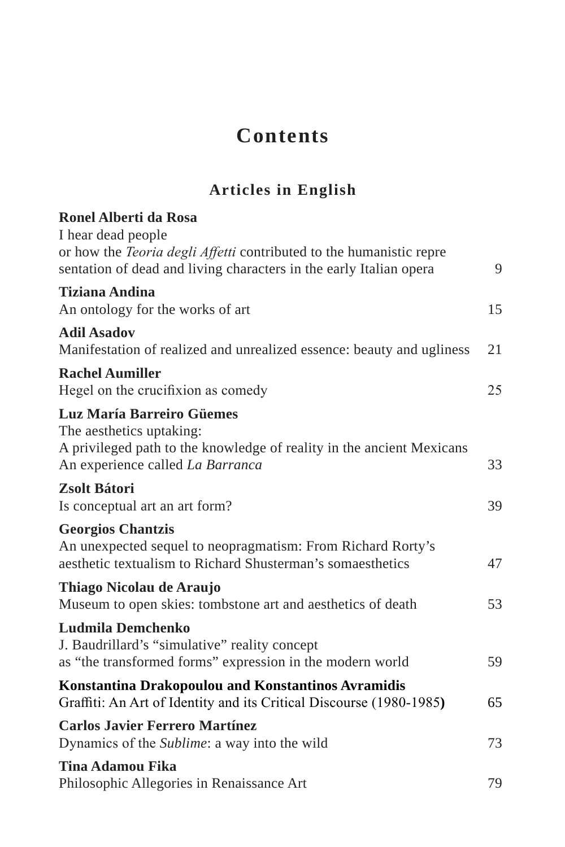## **Contents**

## **Articles in English**

| <b>Ronel Alberti da Rosa</b>                                                                                                                                           |    |
|------------------------------------------------------------------------------------------------------------------------------------------------------------------------|----|
| I hear dead people<br>or how the <i>Teoria degli Affetti</i> contributed to the humanistic repre<br>sentation of dead and living characters in the early Italian opera | 9  |
| <b>Tiziana Andina</b><br>An ontology for the works of art                                                                                                              | 15 |
| <b>Adil Asadov</b><br>Manifestation of realized and unrealized essence: beauty and ugliness                                                                            | 21 |
| <b>Rachel Aumiller</b><br>Hegel on the crucifixion as comedy                                                                                                           | 25 |
| Luz María Barreiro Güemes<br>The aesthetics uptaking:<br>A privileged path to the knowledge of reality in the ancient Mexicans<br>An experience called La Barranca     | 33 |
| Zsolt Bátori<br>Is conceptual art an art form?                                                                                                                         | 39 |
| <b>Georgios Chantzis</b><br>An unexpected sequel to neopragmatism: From Richard Rorty's<br>aesthetic textualism to Richard Shusterman's somaesthetics                  | 47 |
| Thiago Nicolau de Araujo<br>Museum to open skies: tombstone art and aesthetics of death                                                                                | 53 |
| <b>Ludmila Demchenko</b><br>J. Baudrillard's "simulative" reality concept<br>as "the transformed forms" expression in the modern world                                 | 59 |
| Konstantina Drakopoulou and Konstantinos Avramidis<br>Graffiti: An Art of Identity and its Critical Discourse (1980-1985)                                              | 65 |
| <b>Carlos Javier Ferrero Martínez</b><br>Dynamics of the <i>Sublime</i> : a way into the wild                                                                          | 73 |
| <b>Tina Adamou Fika</b><br>Philosophic Allegories in Renaissance Art                                                                                                   | 79 |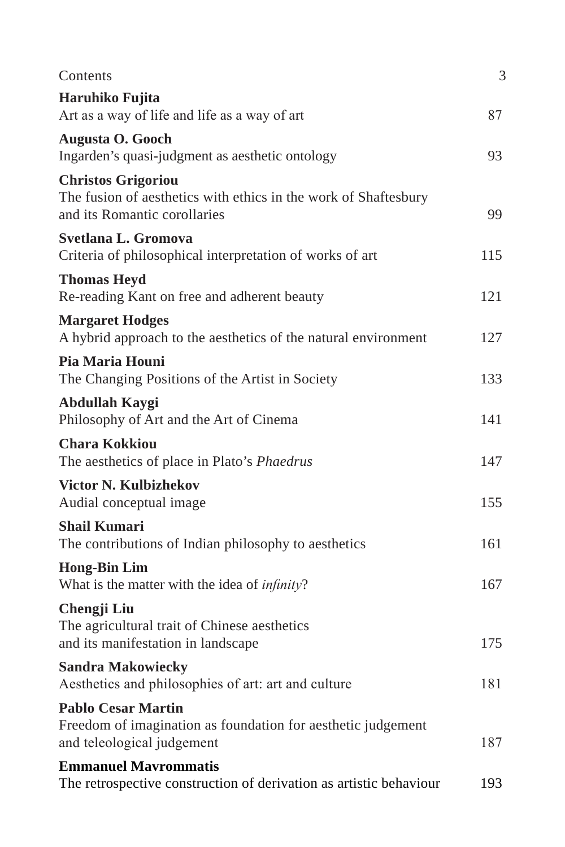| Contents                                                                                                                     | 3   |
|------------------------------------------------------------------------------------------------------------------------------|-----|
| Haruhiko Fujita<br>Art as a way of life and life as a way of art                                                             | 87  |
| <b>Augusta O. Gooch</b><br>Ingarden's quasi-judgment as aesthetic ontology                                                   | 93  |
| <b>Christos Grigoriou</b><br>The fusion of aesthetics with ethics in the work of Shaftesbury<br>and its Romantic corollaries | 99  |
| Svetlana L. Gromova<br>Criteria of philosophical interpretation of works of art                                              | 115 |
| <b>Thomas Heyd</b><br>Re-reading Kant on free and adherent beauty                                                            | 121 |
| <b>Margaret Hodges</b><br>A hybrid approach to the aesthetics of the natural environment                                     | 127 |
| Pia Maria Houni<br>The Changing Positions of the Artist in Society                                                           | 133 |
| Abdullah Kaygi<br>Philosophy of Art and the Art of Cinema                                                                    | 141 |
| <b>Chara Kokkiou</b><br>The aesthetics of place in Plato's Phaedrus                                                          | 147 |
| <b>Victor N. Kulbizhekov</b><br>Audial conceptual image                                                                      | 155 |
| <b>Shail Kumari</b><br>The contributions of Indian philosophy to aesthetics                                                  | 161 |
| <b>Hong-Bin Lim</b><br>What is the matter with the idea of <i>infinity</i> ?                                                 | 167 |
| Chengji Liu<br>The agricultural trait of Chinese aesthetics<br>and its manifestation in landscape                            | 175 |
| <b>Sandra Makowiecky</b><br>Aesthetics and philosophies of art: art and culture                                              | 181 |
| <b>Pablo Cesar Martin</b><br>Freedom of imagination as foundation for aesthetic judgement<br>and teleological judgement      | 187 |
| <b>Emmanuel Mavrommatis</b><br>The retrospective construction of derivation as artistic behaviour                            | 193 |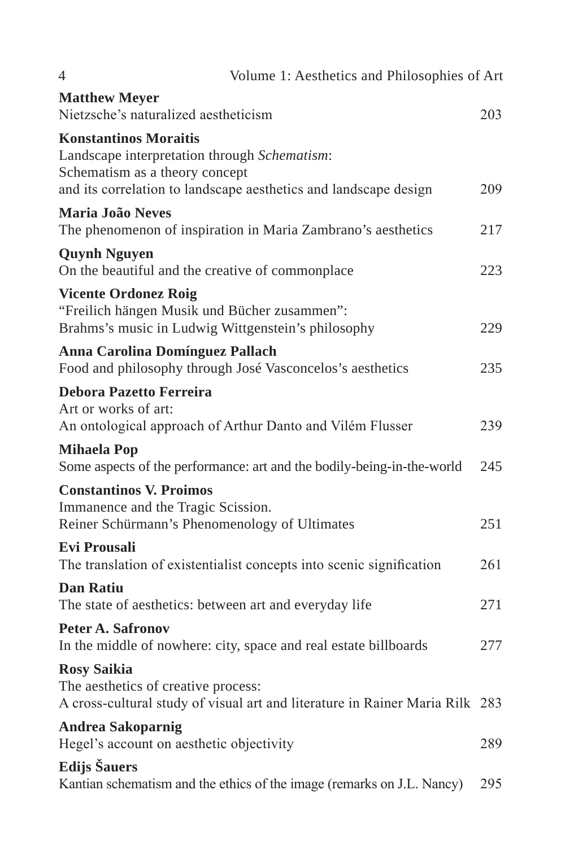| 4                                                                                                                                 | Volume 1: Aesthetics and Philosophies of Art                                 |     |
|-----------------------------------------------------------------------------------------------------------------------------------|------------------------------------------------------------------------------|-----|
| <b>Matthew Meyer</b>                                                                                                              |                                                                              |     |
| Nietzsche's naturalized aestheticism                                                                                              |                                                                              | 203 |
| <b>Konstantinos Moraitis</b><br>Landscape interpretation through Schematism:<br>Schematism as a theory concept                    | and its correlation to landscape aesthetics and landscape design             | 209 |
| Maria João Neves                                                                                                                  | The phenomenon of inspiration in Maria Zambrano's aesthetics                 | 217 |
| <b>Quynh Nguyen</b><br>On the beautiful and the creative of commonplace                                                           |                                                                              | 223 |
| <b>Vicente Ordonez Roig</b><br>"Freilich hängen Musik und Bücher zusammen":<br>Brahms's music in Ludwig Wittgenstein's philosophy |                                                                              | 229 |
| <b>Anna Carolina Domínguez Pallach</b><br>Food and philosophy through José Vasconcelos's aesthetics                               |                                                                              | 235 |
| <b>Debora Pazetto Ferreira</b><br>Art or works of art:<br>An ontological approach of Arthur Danto and Vilém Flusser               |                                                                              | 239 |
| <b>Mihaela Pop</b>                                                                                                                | Some aspects of the performance: art and the bodily-being-in-the-world       | 245 |
| <b>Constantinos V. Proimos</b><br>Immanence and the Tragic Scission.<br>Reiner Schürmann's Phenomenology of Ultimates             |                                                                              | 251 |
| <b>Evi Prousali</b>                                                                                                               | The translation of existentialist concepts into scenic signification         | 261 |
| <b>Dan Ratiu</b><br>The state of aesthetics: between art and everyday life                                                        |                                                                              | 271 |
| <b>Peter A. Safronov</b>                                                                                                          | In the middle of nowhere: city, space and real estate billboards             | 277 |
| <b>Rosy Saikia</b><br>The aesthetics of creative process:                                                                         | A cross-cultural study of visual art and literature in Rainer Maria Rilk 283 |     |
| <b>Andrea Sakoparnig</b><br>Hegel's account on aesthetic objectivity                                                              |                                                                              | 289 |
| Edijs Šauers                                                                                                                      | Kantian schematism and the ethics of the image (remarks on J.L. Nancy)       | 295 |
|                                                                                                                                   |                                                                              |     |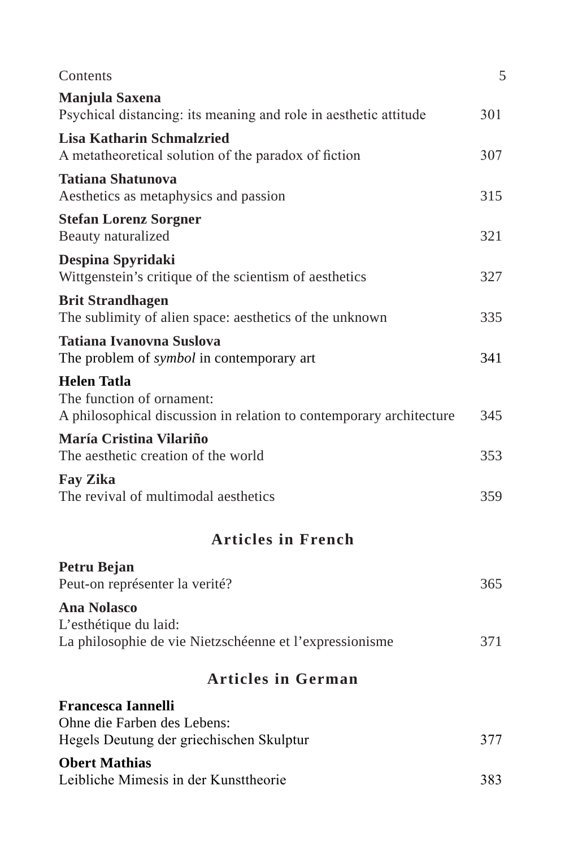| Contents                                                                                                               | 5   |  |  |
|------------------------------------------------------------------------------------------------------------------------|-----|--|--|
| Manjula Saxena<br>Psychical distancing: its meaning and role in aesthetic attitude                                     | 301 |  |  |
| <b>Lisa Katharin Schmalzried</b><br>A metatheoretical solution of the paradox of fiction                               | 307 |  |  |
| <b>Tatiana Shatunova</b><br>Aesthetics as metaphysics and passion                                                      | 315 |  |  |
| <b>Stefan Lorenz Sorgner</b><br>Beauty naturalized                                                                     | 321 |  |  |
| Despina Spyridaki<br>Wittgenstein's critique of the scientism of aesthetics                                            | 327 |  |  |
| <b>Brit Strandhagen</b><br>The sublimity of alien space: aesthetics of the unknown                                     | 335 |  |  |
| <b>Tatiana Ivanovna Suslova</b><br>The problem of <i>symbol</i> in contemporary art                                    | 341 |  |  |
| <b>Helen Tatla</b><br>The function of ornament:<br>A philosophical discussion in relation to contemporary architecture | 345 |  |  |
| María Cristina Vilariño<br>The aesthetic creation of the world                                                         | 353 |  |  |
| <b>Fay Zika</b><br>The revival of multimodal aesthetics                                                                | 359 |  |  |
| <b>Articles in French</b>                                                                                              |     |  |  |
| Petru Bejan<br>Peut-on représenter la verité?                                                                          | 365 |  |  |
| <b>Ana Nolasco</b><br>L'esthétique du laid:<br>La philosophie de vie Nietzschéenne et l'expressionisme                 | 371 |  |  |
| <b>Articles in German</b>                                                                                              |     |  |  |
| <b>Francesca Iannelli</b><br>Ohne die Farben des Lebens:                                                               |     |  |  |
| Hegels Deutung der griechischen Skulptur                                                                               | 377 |  |  |
| <b>Obert Mathias</b><br>Leibliche Mimesis in der Kunsttheorie                                                          | 383 |  |  |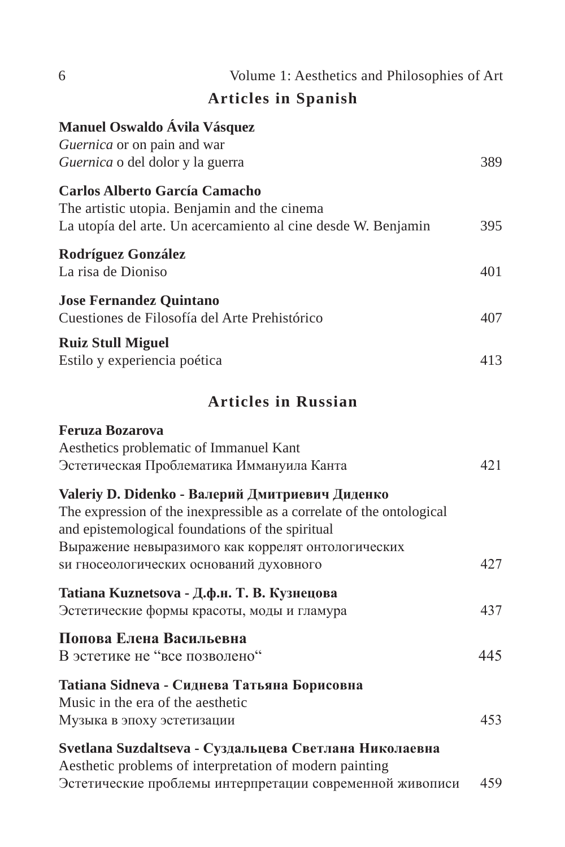| 6<br>Volume 1: Aesthetics and Philosophies of Art                                                                                                                             |     |
|-------------------------------------------------------------------------------------------------------------------------------------------------------------------------------|-----|
| <b>Articles in Spanish</b>                                                                                                                                                    |     |
| Manuel Oswaldo Ávila Vásquez<br>Guernica or on pain and war<br>Guernica o del dolor y la guerra                                                                               | 389 |
| <b>Carlos Alberto García Camacho</b><br>The artistic utopia. Benjamin and the cinema<br>La utopía del arte. Un acercamiento al cine desde W. Benjamin                         | 395 |
| Rodríguez González<br>La risa de Dioniso                                                                                                                                      | 401 |
| <b>Jose Fernandez Quintano</b><br>Cuestiones de Filosofía del Arte Prehistórico                                                                                               | 407 |
| <b>Ruiz Stull Miguel</b><br>Estilo y experiencia poética                                                                                                                      | 413 |
| <b>Articles in Russian</b>                                                                                                                                                    |     |
| <b>Feruza Bozarova</b><br>Aesthetics problematic of Immanuel Kant<br>Эстетическая Проблематика Иммануила Канта                                                                | 421 |
| Valeriy D. Didenko - Валерий Дмитриевич Диденко<br>The expression of the inexpressible as a correlate of the ontological<br>and epistemological foundations of the spiritual  |     |
| Выражение невыразимого как коррелят онтологических<br>ѕи гносеологических оснований духовного                                                                                 | 427 |
| Tatiana Kuznetsova - Д.ф.н. Т. В. Кузнецова<br>Эстетические формы красоты, моды и гламура                                                                                     | 437 |
| Попова Елена Васильевна<br>В эстетике не "все позволено"                                                                                                                      | 445 |
| Tatiana Sidneva - Сиднева Татьяна Борисовна<br>Music in the era of the aesthetic<br>Музыка в эпоху эстетизации                                                                | 453 |
| Svetlana Suzdaltseva - Суздальцева Светлана Николаевна<br>Aesthetic problems of interpretation of modern painting<br>Эстетические проблемы интерпретации современной живописи | 459 |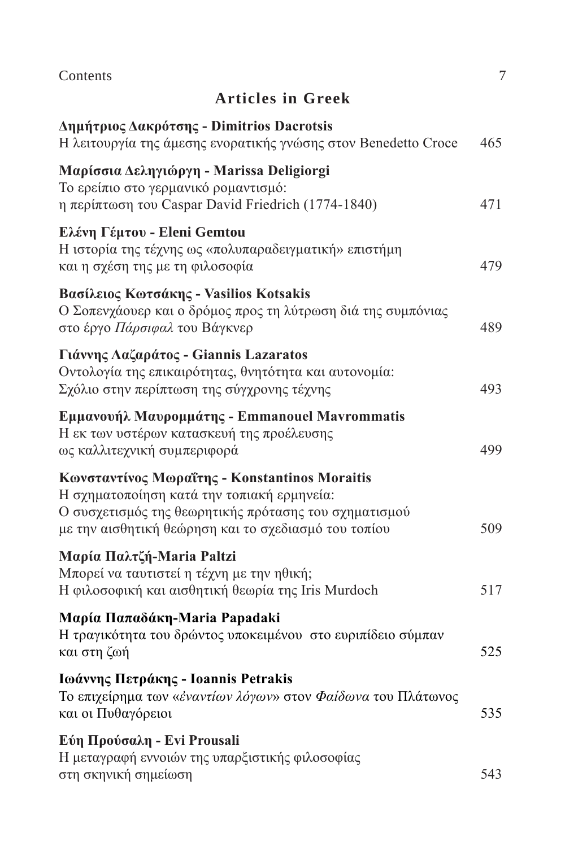| Contents                                                                                                                                                                                                     | $\overline{7}$ |
|--------------------------------------------------------------------------------------------------------------------------------------------------------------------------------------------------------------|----------------|
| <b>Articles in Greek</b>                                                                                                                                                                                     |                |
| Δημήτριος Δακρότσης - Dimitrios Dacrotsis<br>Η λειτουργία της άμεσης ενορατικής γνώσης στον Benedetto Croce                                                                                                  | 465            |
| Μαρίσσια Δεληγιώργη - Marissa Deligiorgi<br>Το ερείπιο στο γερμανικό ρομαντισμό:<br>η περίπτωση του Caspar David Friedrich (1774-1840)                                                                       | 471            |
| Ελένη Γέμτου - Eleni Gemtou<br>Η ιστορία της τέχνης ως «πολυπαραδειγματική» επιστήμη<br>και η σχέση της με τη φιλοσοφία                                                                                      | 479            |
| Βασίλειος Κωτσάκης - Vasilios Kotsakis<br>Ο Σοπενχάουερ και ο δρόμος προς τη λύτρωση διά της συμπόνιας<br>στο έργο Πάρσιφαλ του Βάγκνερ                                                                      | 489            |
| Γιάννης Λαζαράτος - Giannis Lazaratos<br>Οντολογία της επικαιρότητας, θνητότητα και αυτονομία:<br>Σχόλιο στην περίπτωση της σύγχρονης τέχνης                                                                 | 493            |
| Εμμανουήλ Μαυρομμάτης - Emmanouel Mavrommatis<br>Η εκ των υστέρων κατασκευή της προέλευσης<br>ως καλλιτεχνική συμπεριφορά                                                                                    | 499            |
| Κωνσταντίνος Μωραΐτης - Konstantinos Moraitis<br>Η σχηματοποίηση κατά την τοπιακή ερμηνεία:<br>Ο συσχετισμός της θεωρητικής πρότασης του σχηματισμού<br>με την αισθητική θεώρηση και το σχεδιασμό του τοπίου | 509            |
| Μαρία Παλτζή-Maria Paltzi<br>Μπορεί να ταυτιστεί η τέχνη με την ηθική;<br>Η φιλοσοφική και αισθητική θεωρία της Iris Murdoch                                                                                 | 517            |
| Μαρία Παπαδάκη-Maria Papadaki<br>Η τραγικότητα του δρώντος υποκειμένου στο ευριπίδειο σύμπαν<br>και στη ζωή                                                                                                  | 525            |
| Ιωάννης Πετράκης - Ioannis Petrakis<br>Το επιχείρημα των «έναντίων λόγων» στον Φαίδωνα του Πλάτωνος<br>και οι Πυθαγόρειοι                                                                                    | 535            |
| Εύη Προύσαλη - Evi Prousali<br>Η μεταγραφή εννοιών της υπαρξιστικής φιλοσοφίας<br>στη σκηνική σημείωση                                                                                                       | 543            |